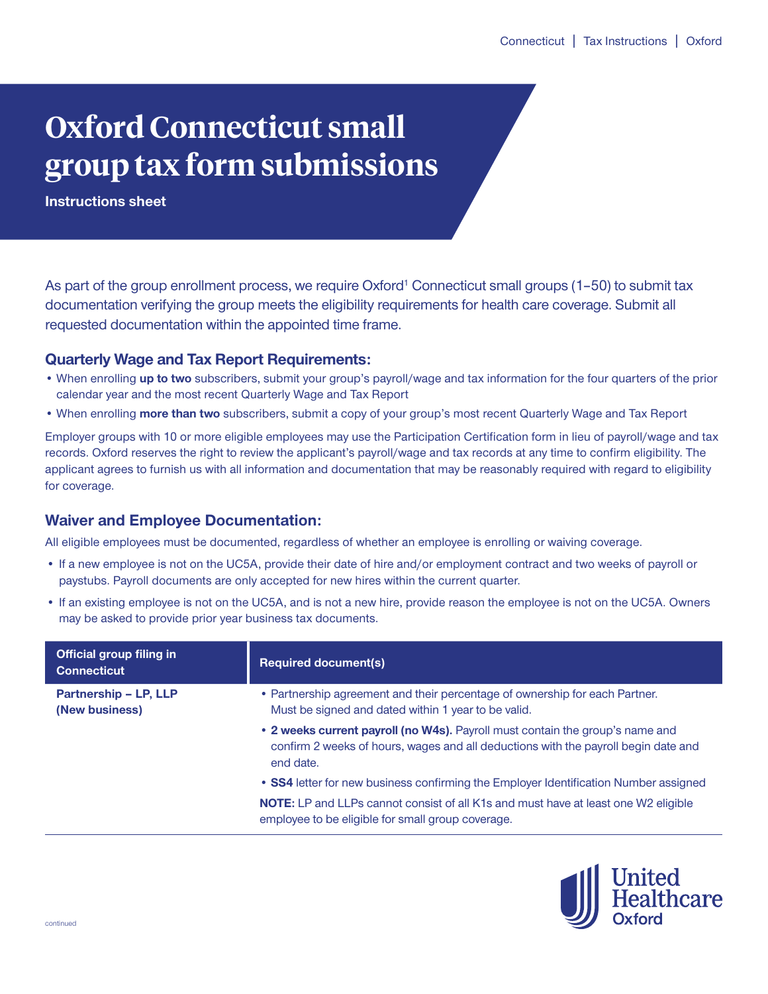# **Oxford Connecticut small group tax form submissions**

**Instructions sheet**

As part of the group enrollment process, we require Oxford<sup>1</sup> Connecticut small groups (1-50) to submit tax documentation verifying the group meets the eligibility requirements for health care coverage. Submit all requested documentation within the appointed time frame.

## **Quarterly Wage and Tax Report Requirements:**

- When enrolling **up to two** subscribers, submit your group's payroll/wage and tax information for the four quarters of the prior calendar year and the most recent Quarterly Wage and Tax Report
- When enrolling **more than two** subscribers, submit a copy of your group's most recent Quarterly Wage and Tax Report

Employer groups with 10 or more eligible employees may use the Participation Certification form in lieu of payroll/wage and tax records. Oxford reserves the right to review the applicant's payroll/wage and tax records at any time to confirm eligibility. The applicant agrees to furnish us with all information and documentation that may be reasonably required with regard to eligibility for coverage.

# **Waiver and Employee Documentation:**

All eligible employees must be documented, regardless of whether an employee is enrolling or waiving coverage.

- If a new employee is not on the UC5A, provide their date of hire and/or employment contract and two weeks of payroll or paystubs. Payroll documents are only accepted for new hires within the current quarter.
- If an existing employee is not on the UC5A, and is not a new hire, provide reason the employee is not on the UC5A. Owners may be asked to provide prior year business tax documents.

| <b>Official group filing in</b><br><b>Connecticut</b> | <b>Required document(s)</b>                                                                                                                                                      |
|-------------------------------------------------------|----------------------------------------------------------------------------------------------------------------------------------------------------------------------------------|
| <b>Partnership - LP, LLP</b><br>(New business)        | • Partnership agreement and their percentage of ownership for each Partner.<br>Must be signed and dated within 1 year to be valid.                                               |
|                                                       | • 2 weeks current payroll (no W4s). Payroll must contain the group's name and<br>confirm 2 weeks of hours, wages and all deductions with the payroll begin date and<br>end date. |
|                                                       | • SS4 letter for new business confirming the Employer Identification Number assigned                                                                                             |
|                                                       | <b>NOTE:</b> LP and LLPs cannot consist of all K1s and must have at least one W2 eligible<br>employee to be eligible for small group coverage.                                   |

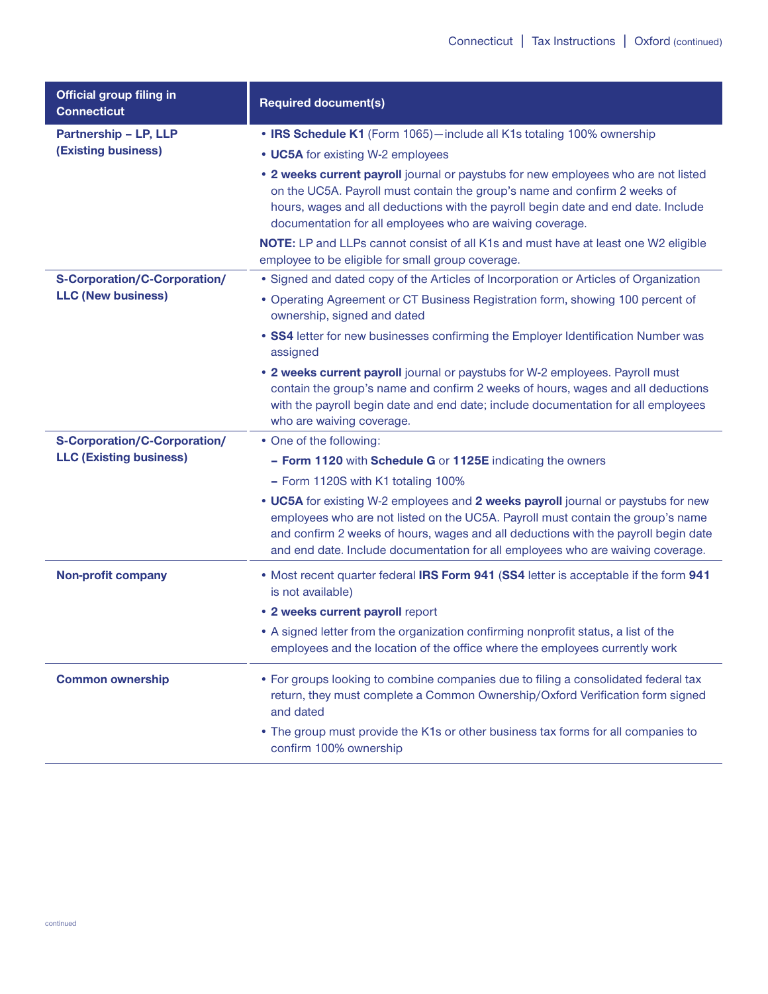| <b>Official group filing in</b><br><b>Connecticut</b>            | <b>Required document(s)</b>                                                                                                                                                                                                                                                                                                                   |
|------------------------------------------------------------------|-----------------------------------------------------------------------------------------------------------------------------------------------------------------------------------------------------------------------------------------------------------------------------------------------------------------------------------------------|
| Partnership - LP, LLP<br><b>(Existing business)</b>              | • IRS Schedule K1 (Form 1065)-include all K1s totaling 100% ownership                                                                                                                                                                                                                                                                         |
|                                                                  | • UC5A for existing W-2 employees                                                                                                                                                                                                                                                                                                             |
|                                                                  | . 2 weeks current payroll journal or paystubs for new employees who are not listed<br>on the UC5A. Payroll must contain the group's name and confirm 2 weeks of<br>hours, wages and all deductions with the payroll begin date and end date. Include<br>documentation for all employees who are waiving coverage.                             |
|                                                                  | NOTE: LP and LLPs cannot consist of all K1s and must have at least one W2 eligible<br>employee to be eligible for small group coverage.                                                                                                                                                                                                       |
| <b>S-Corporation/C-Corporation/</b><br><b>LLC (New business)</b> | • Signed and dated copy of the Articles of Incorporation or Articles of Organization                                                                                                                                                                                                                                                          |
|                                                                  | • Operating Agreement or CT Business Registration form, showing 100 percent of<br>ownership, signed and dated                                                                                                                                                                                                                                 |
|                                                                  | • SS4 letter for new businesses confirming the Employer Identification Number was<br>assigned                                                                                                                                                                                                                                                 |
|                                                                  | . 2 weeks current payroll journal or paystubs for W-2 employees. Payroll must<br>contain the group's name and confirm 2 weeks of hours, wages and all deductions<br>with the payroll begin date and end date; include documentation for all employees<br>who are waiving coverage.                                                            |
| <b>S-Corporation/C-Corporation/</b>                              | • One of the following:                                                                                                                                                                                                                                                                                                                       |
| <b>LLC (Existing business)</b>                                   | - Form 1120 with Schedule G or 1125E indicating the owners                                                                                                                                                                                                                                                                                    |
|                                                                  | - Form 1120S with K1 totaling 100%                                                                                                                                                                                                                                                                                                            |
|                                                                  | • UC5A for existing W-2 employees and 2 weeks payroll journal or paystubs for new<br>employees who are not listed on the UC5A. Payroll must contain the group's name<br>and confirm 2 weeks of hours, wages and all deductions with the payroll begin date<br>and end date. Include documentation for all employees who are waiving coverage. |
| <b>Non-profit company</b>                                        | . Most recent quarter federal IRS Form 941 (SS4 letter is acceptable if the form 941<br>is not available)                                                                                                                                                                                                                                     |
|                                                                  | . 2 weeks current payroll report                                                                                                                                                                                                                                                                                                              |
|                                                                  | • A signed letter from the organization confirming nonprofit status, a list of the<br>employees and the location of the office where the employees currently work                                                                                                                                                                             |
| <b>Common ownership</b>                                          | • For groups looking to combine companies due to filing a consolidated federal tax<br>return, they must complete a Common Ownership/Oxford Verification form signed<br>and dated                                                                                                                                                              |
|                                                                  | • The group must provide the K1s or other business tax forms for all companies to<br>confirm 100% ownership                                                                                                                                                                                                                                   |